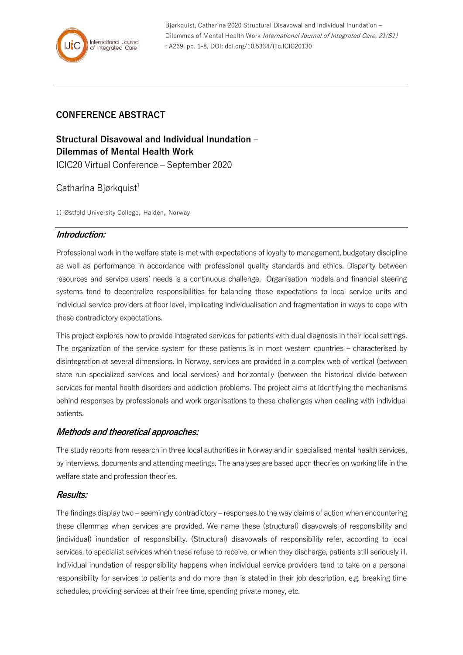

Bjørkquist, Catharina 2020 Structural Disavowal and Individual Inundation – Dilemmas of Mental Health Work International Journal of Integrated Care, 21(S1) : A269, pp. 1-8, DOI: doi.org/10.5334/ijic.ICIC20130

## **CONFERENCE ABSTRACT**

# **Structural Disavowal and Individual Inundation – Dilemmas of Mental Health Work**

ICIC20 Virtual Conference – September 2020

## Catharina Biørkquist<sup>1</sup>

1: Østfold University College, Halden, Norway

## **Introduction:**

Professional work in the welfare state is met with expectations of loyalty to management, budgetary discipline as well as performance in accordance with professional quality standards and ethics. Disparity between resources and service users' needs is a continuous challenge. Organisation models and financial steering systems tend to decentralize responsibilities for balancing these expectations to local service units and individual service providers at floor level, implicating individualisation and fragmentation in ways to cope with these contradictory expectations.

This project explores how to provide integrated services for patients with dual diagnosis in their local settings. The organization of the service system for these patients is in most western countries – characterised by disintegration at several dimensions. In Norway, services are provided in a complex web of vertical (between state run specialized services and local services) and horizontally (between the historical divide between services for mental health disorders and addiction problems. The project aims at identifying the mechanisms behind responses by professionals and work organisations to these challenges when dealing with individual patients.

## **Methods and theoretical approaches:**

The study reports from research in three local authorities in Norway and in specialised mental health services, by interviews, documents and attending meetings. The analyses are based upon theories on working life in the welfare state and profession theories.

## **Results:**

The findings display two – seemingly contradictory – responses to the way claims of action when encountering these dilemmas when services are provided. We name these (structural) disavowals of responsibility and (individual) inundation of responsibility. (Structural) disavowals of responsibility refer, according to local services, to specialist services when these refuse to receive, or when they discharge, patients still seriously ill. Individual inundation of responsibility happens when individual service providers tend to take on a personal responsibility for services to patients and do more than is stated in their job description, e.g. breaking time schedules, providing services at their free time, spending private money, etc.